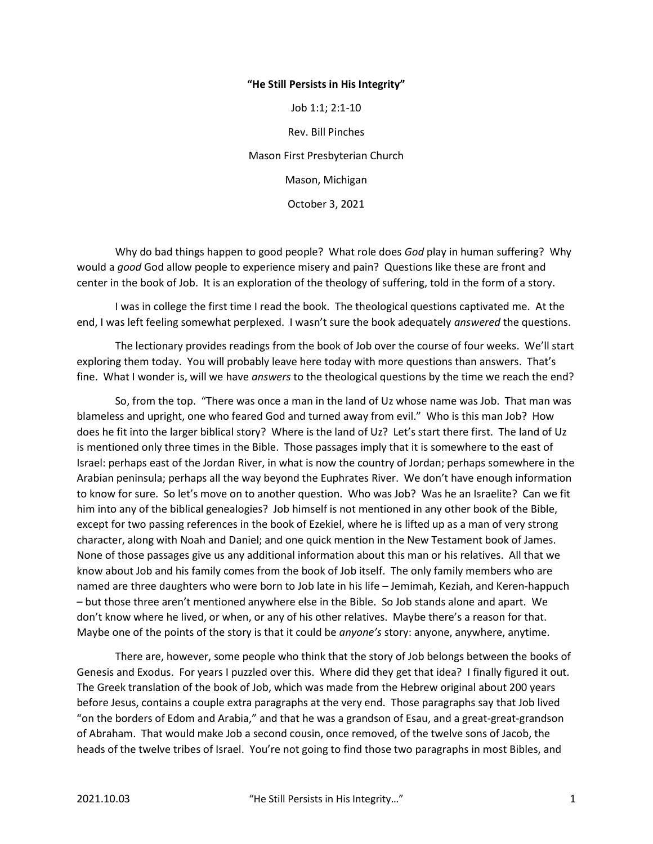## "He Still Persists in His Integrity"

Job 1:1; 2:1-10 Rev. Bill Pinches Mason First Presbyterian Church Mason, Michigan October 3, 2021

Why do bad things happen to good people? What role does God play in human suffering? Why would a good God allow people to experience misery and pain? Questions like these are front and center in the book of Job. It is an exploration of the theology of suffering, told in the form of a story.

 I was in college the first time I read the book. The theological questions captivated me. At the end, I was left feeling somewhat perplexed. I wasn't sure the book adequately *answered* the questions.

 The lectionary provides readings from the book of Job over the course of four weeks. We'll start exploring them today. You will probably leave here today with more questions than answers. That's fine. What I wonder is, will we have answers to the theological questions by the time we reach the end?

 So, from the top. "There was once a man in the land of Uz whose name was Job. That man was blameless and upright, one who feared God and turned away from evil." Who is this man Job? How does he fit into the larger biblical story? Where is the land of Uz? Let's start there first. The land of Uz is mentioned only three times in the Bible. Those passages imply that it is somewhere to the east of Israel: perhaps east of the Jordan River, in what is now the country of Jordan; perhaps somewhere in the Arabian peninsula; perhaps all the way beyond the Euphrates River. We don't have enough information to know for sure. So let's move on to another question. Who was Job? Was he an Israelite? Can we fit him into any of the biblical genealogies? Job himself is not mentioned in any other book of the Bible, except for two passing references in the book of Ezekiel, where he is lifted up as a man of very strong character, along with Noah and Daniel; and one quick mention in the New Testament book of James. None of those passages give us any additional information about this man or his relatives. All that we know about Job and his family comes from the book of Job itself. The only family members who are named are three daughters who were born to Job late in his life – Jemimah, Keziah, and Keren-happuch – but those three aren't mentioned anywhere else in the Bible. So Job stands alone and apart. We don't know where he lived, or when, or any of his other relatives. Maybe there's a reason for that. Maybe one of the points of the story is that it could be *anyone's* story: anyone, anywhere, anytime.

 There are, however, some people who think that the story of Job belongs between the books of Genesis and Exodus. For years I puzzled over this. Where did they get that idea? I finally figured it out. The Greek translation of the book of Job, which was made from the Hebrew original about 200 years before Jesus, contains a couple extra paragraphs at the very end. Those paragraphs say that Job lived "on the borders of Edom and Arabia," and that he was a grandson of Esau, and a great-great-grandson of Abraham. That would make Job a second cousin, once removed, of the twelve sons of Jacob, the heads of the twelve tribes of Israel. You're not going to find those two paragraphs in most Bibles, and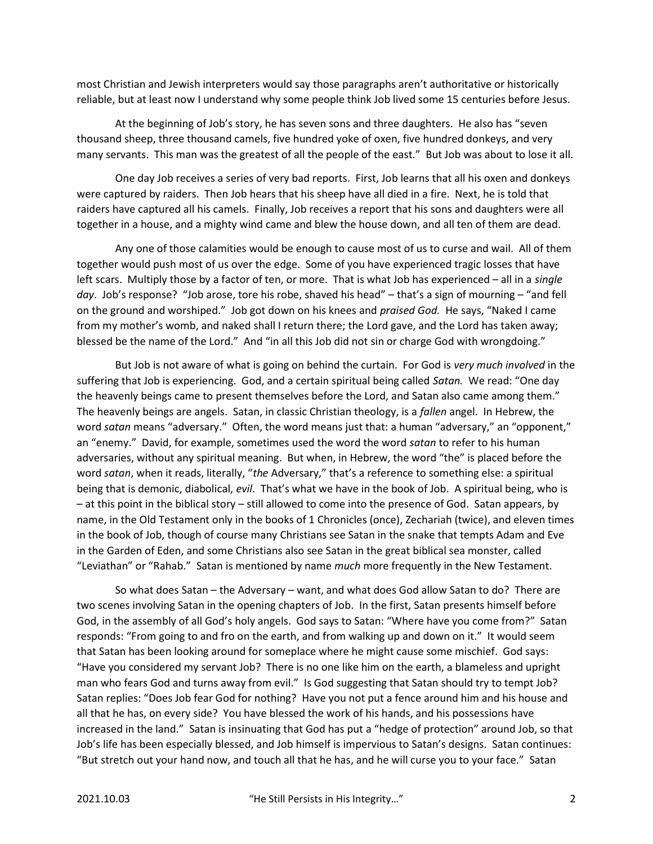most Christian and Jewish interpreters would say those paragraphs aren't authoritative or historically reliable, but at least now I understand why some people think Job lived some 15 centuries before Jesus.

 At the beginning of Job's story, he has seven sons and three daughters. He also has "seven thousand sheep, three thousand camels, five hundred yoke of oxen, five hundred donkeys, and very many servants. This man was the greatest of all the people of the east." But Job was about to lose it all.

 One day Job receives a series of very bad reports. First, Job learns that all his oxen and donkeys were captured by raiders. Then Job hears that his sheep have all died in a fire. Next, he is told that raiders have captured all his camels. Finally, Job receives a report that his sons and daughters were all together in a house, and a mighty wind came and blew the house down, and all ten of them are dead.

 Any one of those calamities would be enough to cause most of us to curse and wail. All of them together would push most of us over the edge. Some of you have experienced tragic losses that have left scars. Multiply those by a factor of ten, or more. That is what Job has experienced – all in a single day. Job's response? "Job arose, tore his robe, shaved his head" – that's a sign of mourning – "and fell on the ground and worshiped." Job got down on his knees and praised God. He says, "Naked I came from my mother's womb, and naked shall I return there; the Lord gave, and the Lord has taken away; blessed be the name of the Lord." And "in all this Job did not sin or charge God with wrongdoing."

But Job is not aware of what is going on behind the curtain. For God is very much involved in the suffering that Job is experiencing. God, and a certain spiritual being called Satan. We read: "One day the heavenly beings came to present themselves before the Lord, and Satan also came among them." The heavenly beings are angels. Satan, in classic Christian theology, is a *fallen* angel. In Hebrew, the word satan means "adversary." Often, the word means just that: a human "adversary," an "opponent," an "enemy." David, for example, sometimes used the word the word satan to refer to his human adversaries, without any spiritual meaning. But when, in Hebrew, the word "the" is placed before the word satan, when it reads, literally, "the Adversary," that's a reference to something else: a spiritual being that is demonic, diabolical, evil. That's what we have in the book of Job. A spiritual being, who is – at this point in the biblical story – still allowed to come into the presence of God. Satan appears, by name, in the Old Testament only in the books of 1 Chronicles (once), Zechariah (twice), and eleven times in the book of Job, though of course many Christians see Satan in the snake that tempts Adam and Eve in the Garden of Eden, and some Christians also see Satan in the great biblical sea monster, called "Leviathan" or "Rahab." Satan is mentioned by name *much* more frequently in the New Testament.

 So what does Satan – the Adversary – want, and what does God allow Satan to do? There are two scenes involving Satan in the opening chapters of Job. In the first, Satan presents himself before God, in the assembly of all God's holy angels. God says to Satan: "Where have you come from?" Satan responds: "From going to and fro on the earth, and from walking up and down on it." It would seem that Satan has been looking around for someplace where he might cause some mischief. God says: "Have you considered my servant Job? There is no one like him on the earth, a blameless and upright man who fears God and turns away from evil." Is God suggesting that Satan should try to tempt Job? Satan replies: "Does Job fear God for nothing? Have you not put a fence around him and his house and all that he has, on every side? You have blessed the work of his hands, and his possessions have increased in the land." Satan is insinuating that God has put a "hedge of protection" around Job, so that Job's life has been especially blessed, and Job himself is impervious to Satan's designs. Satan continues: "But stretch out your hand now, and touch all that he has, and he will curse you to your face." Satan